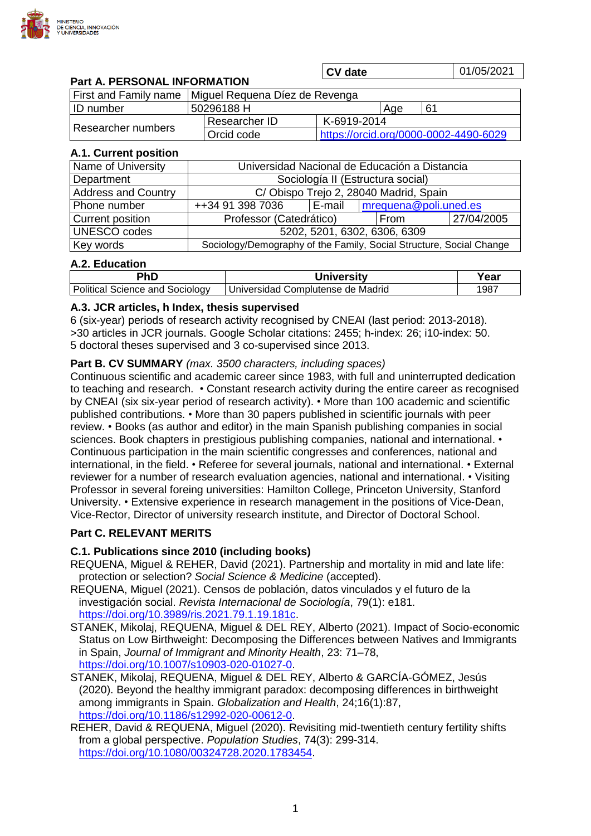

|                                     |                                               | <b>CV</b> date                        |             |    | 01/05/2021 |
|-------------------------------------|-----------------------------------------------|---------------------------------------|-------------|----|------------|
| <b>Part A. PERSONAL INFORMATION</b> |                                               |                                       |             |    |            |
| First and Family name               | Miguel Requena Díez de Revenga                |                                       |             |    |            |
| <b>ID</b> number                    | 50296188 H                                    |                                       | Age         | 61 |            |
| Researcher numbers                  | Researcher ID                                 |                                       | K-6919-2014 |    |            |
|                                     | Orcid code                                    | https://orcid.org/0000-0002-4490-6029 |             |    |            |
| A.1. Current position               |                                               |                                       |             |    |            |
| Name of University                  | Universidad Nacional de Educación a Distancia |                                       |             |    |            |

| Name of University         | Universidad Nacional de Educación a Distancia                       |          |                       |            |  |
|----------------------------|---------------------------------------------------------------------|----------|-----------------------|------------|--|
| Department                 | Sociología II (Estructura social)                                   |          |                       |            |  |
| <b>Address and Country</b> | C/Obispo Trejo 2, 28040 Madrid, Spain                               |          |                       |            |  |
| Phone number               | ++34 91 398 7036                                                    | l E-mail | mrequena@poli.uned.es |            |  |
| <b>Current position</b>    | Professor (Catedrático)                                             |          | l From                | 27/04/2005 |  |
| <b>UNESCO</b> codes        | 5202, 5201, 6302, 6306, 6309                                        |          |                       |            |  |
| Key words                  | Sociology/Demography of the Family, Social Structure, Social Change |          |                       |            |  |

# **A.2. Education**

| PhD                                  | Universitv                        | rear |
|--------------------------------------|-----------------------------------|------|
| Political J<br>Science and Sociology | Universidad Complutense de Madrid | 987  |

### **A.3. JCR articles, h Index, thesis supervised**

6 (six-year) periods of research activity recognised by CNEAI (last period: 2013-2018). >30 articles in JCR journals. Google Scholar citations: 2455; h-index: 26; i10-index: 50. 5 doctoral theses supervised and 3 co-supervised since 2013.

### **Part B. CV SUMMARY** *(max. 3500 characters, including spaces)*

Continuous scientific and academic career since 1983, with full and uninterrupted dedication to teaching and research. • Constant research activity during the entire career as recognised by CNEAI (six six-year period of research activity). • More than 100 academic and scientific published contributions. • More than 30 papers published in scientific journals with peer review. • Books (as author and editor) in the main Spanish publishing companies in social sciences. Book chapters in prestigious publishing companies, national and international. • Continuous participation in the main scientific congresses and conferences, national and international, in the field. • Referee for several journals, national and international. • External reviewer for a number of research evaluation agencies, national and international. • Visiting Professor in several foreing universities: Hamilton College, Princeton University, Stanford University. • Extensive experience in research management in the positions of Vice-Dean, Vice-Rector, Director of university research institute, and Director of Doctoral School.

# **Part C. RELEVANT MERITS**

### **C.1. Publications since 2010 (including books)**

- REQUENA, Miguel & REHER, David (2021). Partnership and mortality in mid and late life: protection or selection? *Social Science & Medicine* (accepted).
- REQUENA, Miguel (2021). Censos de población, datos vinculados y el futuro de la investigación social. *Revista Internacional de Sociología*, 79(1): e181. [https://doi.org/10.3989/ris.2021.79.1.19.181c.](https://doi.org/10.3989/ris.2021.79.1.19.181c)
- STANEK, Mikolaj, REQUENA, Miguel & DEL REY, Alberto (2021). Impact of Socio-economic Status on Low Birthweight: Decomposing the Differences between Natives and Immigrants in Spain, *Journal of Immigrant and Minority Health*, 23: 71–78, https://doi.org/10.1007/s10903-020-01027-0.
- STANEK, Mikolaj, REQUENA, Miguel & DEL REY, Alberto & GARCÍA-GÓMEZ, Jesús (2020). Beyond the healthy immigrant paradox: decomposing differences in birthweight among immigrants in Spain. *Globalization and Health*, 24;16(1):87, [https://doi.org/10.1186/s12992-020-00612-0.](https://doi.org/10.1186/s12992-020-00612-0)
- REHER, David & REQUENA, Miguel (2020). Revisiting mid-twentieth century fertility shifts from a global perspective. *Population Studies*, 74(3): 299-314. https://doi.org/10.1080/00324728.2020.1783454.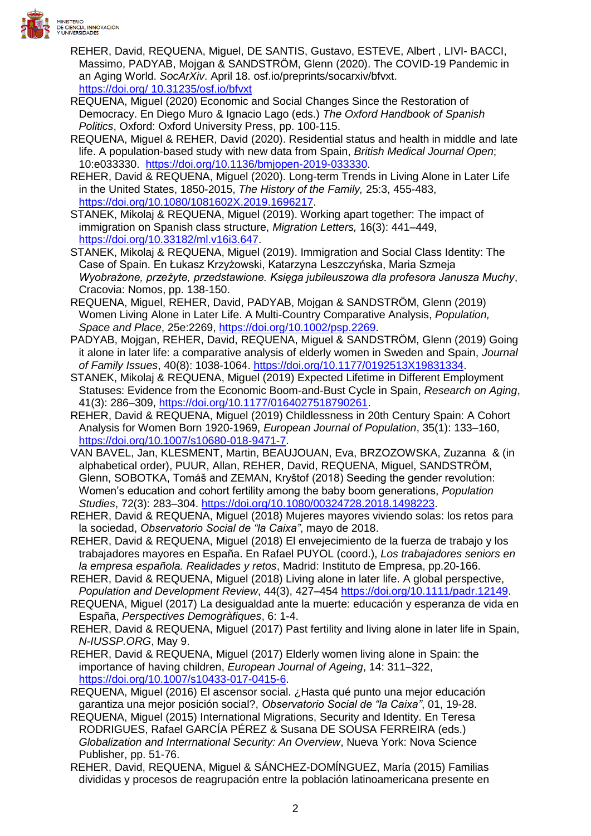

- REHER, David, REQUENA, Miguel, DE SANTIS, Gustavo, ESTEVE, Albert , LIVI- BACCI, Massimo, PADYAB, Mojgan & SANDSTRÖM, Glenn (2020). The COVID-19 Pandemic in an Aging World. *SocArXiv*. April 18. osf.io/preprints/socarxiv/bfvxt. https://doi.org/ 10.31235/osf.io/bfvxt
- REQUENA, Miguel (2020) Economic and Social Changes Since the Restoration of Democracy. En Diego Muro & Ignacio Lago (eds.) *The Oxford Handbook of Spanish Politics*, Oxford: Oxford University Press, pp. 100-115.
- REQUENA, Miguel & REHER, David (2020). Residential status and health in middle and late life. A population-based study with new data from Spain, *British Medical Journal Open*; 10:e033330. [https://doi.org/10.1136/bmjopen-2019-033330.](https://doi:10.1136/bmjopen-2019-033330)
- REHER, David & REQUENA, Miguel (2020). Long-term Trends in Living Alone in Later Life in the United States, 1850-2015, *The History of the Family,* 25:3, 455-483, [https://doi.org/10.1080/1081602X.2019.1696217.](https://doi.org/10.1080/1081602X.2019.1696217)
- STANEK, Mikolaj & REQUENA, Miguel (2019). Working apart together: The impact of immigration on Spanish class structure, *Migration Letters,* 16(3): 441–449, [https://doi.org/10.33182/ml.v16i3.647.](https://doi.org/10.33182/ml.v16i3.647)
- STANEK, Mikolaj & REQUENA, Miguel (2019). Immigration and Social Class Identity: The Case of Spain. En Łukasz Krzyżowski, Katarzyna Leszczyńska, Maria Szmeja *Wyobrażone, przeżyte, przedstawione. Księga jubileuszowa dla profesora Janusza Muchy*, Cracovia: Nomos, pp. 138-150.
- REQUENA, Miguel, REHER, David, PADYAB, Mojgan & SANDSTRÖM, Glenn (2019) Women Living Alone in Later Life. A Multi-Country Comparative Analysis, *Population, Space and Place*, 25e:2269, [https://doi.org/10.1002/psp.2269.](https://doi.org/10.1002/psp.2269)
- PADYAB, Mojgan, REHER, David, REQUENA, Miguel & SANDSTRÖM, Glenn (2019) Going it alone in later life: a comparative analysis of elderly women in Sweden and Spain, *Journal of Family Issues*, 40(8): 1038-1064. [https://doi.org/10.1177/0192513X19831334.](https://doi.org/10.1177/0192513X19831334)
- STANEK, Mikolaj & REQUENA, Miguel (2019) Expected Lifetime in Different Employment Statuses: Evidence from the Economic Boom-and-Bust Cycle in Spain, *Research on Aging*, 41(3): 286–309, [https://doi.org/10.1177/0164027518790261.](https://doi.org/10.1177/0164027518790261)
- REHER, David & REQUENA, Miguel (2019) Childlessness in 20th Century Spain: A Cohort Analysis for Women Born 1920-1969, *European Journal of Population*, 35(1): 133–160, [https://doi.org/10.1007/s10680-018-9471-7.](https://doi.org/10.1007/s10680-018-9471-7)
- VAN BAVEL, Jan, KLESMENT, Martin, BEAUJOUAN, Eva, BRZOZOWSKA, Zuzanna & (in alphabetical order), PUUR, Allan, REHER, David, REQUENA, Miguel, SANDSTRÖM, Glenn, SOBOTKA, Tomáš and ZEMAN, Kryštof (2018) Seeding the gender revolution: Women's education and cohort fertility among the baby boom generations, *Population Studies*, 72(3): 283–304. [https://doi.org/10.1080/00324728.2018.1498223.](https://doi.org/10.1080/00324728.2018.1498223)
- REHER, David & REQUENA, Miguel (2018) Mujeres mayores viviendo solas: los retos para la sociedad, *Observatorio Social de "la Caixa"*, mayo de 2018.
- REHER, David & REQUENA, Miguel (2018) El envejecimiento de la fuerza de trabajo y los trabajadores mayores en España. En Rafael PUYOL (coord.), *Los trabajadores seniors en la empresa española. Realidades y retos*, Madrid: Instituto de Empresa, pp.20-166.
- REHER, David & REQUENA, Miguel (2018) Living alone in later life. A global perspective, *Population and Development Review*, 44(3), 427–454 [https://doi.org/10.1111/padr.12149.](https://doi.org/10.1111/padr.12149)
- REQUENA, Miguel (2017) La desigualdad ante la muerte: educación y esperanza de vida en España, *Perspectives Demogràfiques*, 6: 1-4.
- REHER, David & REQUENA, Miguel (2017) Past fertility and living alone in later life in Spain, *N-IUSSP.ORG*, May 9.
- REHER, David & REQUENA, Miguel (2017) Elderly women living alone in Spain: the importance of having children, *European Journal of Ageing*, 14: 311–322, [https://doi.org/10.1007/s10433-017-0415-6.](https://doi.org/10.1007/s10433-017-0415-6)
- REQUENA, Miguel (2016) El ascensor social. ¿Hasta qué punto una mejor educación garantiza una mejor posición social?, *Observatorio Social de "la Caixa"*, 01, 19-28.
- REQUENA, Miguel (2015) International Migrations, Security and Identity. En Teresa RODRIGUES, Rafael GARCÍA PÉREZ & Susana DE SOUSA FERREIRA (eds.) *Globalization and Interrnational Security: An Overview*, Nueva York: Nova Science Publisher, pp. 51-76.
- REHER, David, REQUENA, Miguel & SÁNCHEZ-DOMÍNGUEZ, María (2015) Familias divididas y procesos de reagrupación entre la población latinoamericana presente en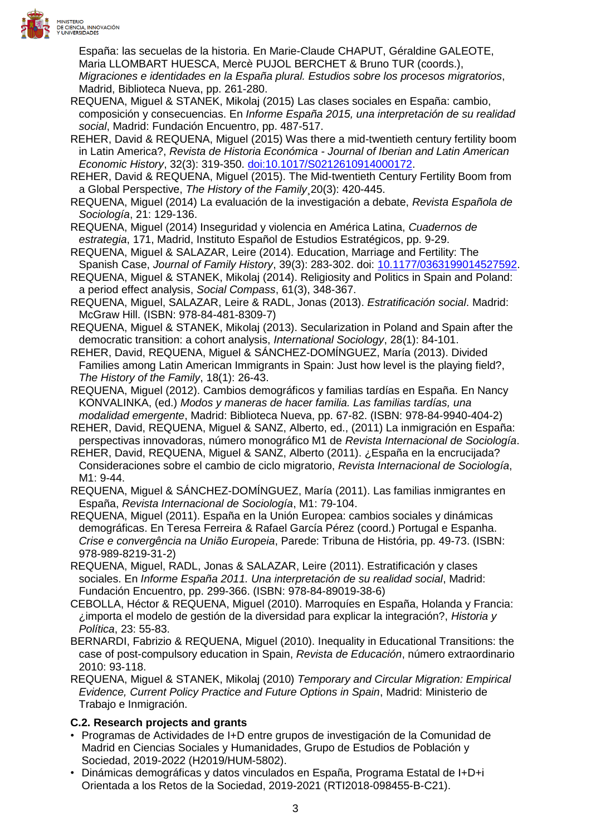

España: las secuelas de la historia. En Marie-Claude CHAPUT, Géraldine GALEOTE, Maria LLOMBART HUESCA, Mercè PUJOL BERCHET & Bruno TUR (coords.), *Migraciones e identidades en la España plural. Estudios sobre los procesos migratorios*, Madrid, Biblioteca Nueva, pp. 261-280.

- REQUENA, Miguel & STANEK, Mikolaj (2015) Las clases sociales en España: cambio, composición y consecuencias. En *Informe España 2015, una interpretación de su realidad social*, Madrid: Fundación Encuentro, pp. 487-517.
- REHER, David & REQUENA, Miguel (2015) Was there a mid-twentieth century fertility boom in Latin America?, *Revista de Historia Económica - Journal of Iberian and Latin American Economic History*, 32(3): 319-350. doi:10.1017/S0212610914000172.
- REHER, David & REQUENA, Miguel (2015). The Mid-twentieth Century Fertility Boom from a Global Perspective, *The History of the Family*¸20(3): 420-445.
- REQUENA, Miguel (2014) La evaluación de la investigación a debate, *Revista Española de Sociología*, 21: 129-136.
- REQUENA, Miguel (2014) Inseguridad y violencia en América Latina, *Cuadernos de estrategia*, 171, Madrid, Instituto Español de Estudios Estratégicos, pp. 9-29.
- REQUENA, Miguel & SALAZAR, Leire (2014). Education, Marriage and Fertility: The Spanish Case, *Journal of Family History*, 39(3): 283-302. doi: 10.1177/0363199014527592.
- REQUENA, Miguel & STANEK, Mikolaj (2014). Religiosity and Politics in Spain and Poland: a period effect analysis, *Social Compass*, 61(3), 348-367.
- REQUENA, Miguel, SALAZAR, Leire & RADL, Jonas (2013). *Estratificación social*. Madrid: McGraw Hill. (ISBN: 978-84-481-8309-7)
- REQUENA, Miguel & STANEK, Mikolaj (2013). Secularization in Poland and Spain after the democratic transition: a cohort analysis, *International Sociology*, 28(1): 84-101.
- REHER, David, REQUENA, Miguel & SÁNCHEZ-DOMÍNGUEZ, María (2013). Divided Families among Latin American Immigrants in Spain: Just how level is the playing field?, *The History of the Family*, 18(1): 26-43.
- REQUENA, Miguel (2012). Cambios demográficos y familias tardías en España. En Nancy KONVALINKA, (ed.) *Modos y maneras de hacer familia. Las familias tardías, una modalidad emergente*, Madrid: Biblioteca Nueva, pp. 67-82. (ISBN: 978-84-9940-404-2)
- REHER, David, REQUENA, Miguel & SANZ, Alberto, ed., (2011) La inmigración en España: perspectivas innovadoras, número monográfico M1 de *Revista Internacional de Sociología*.
- REHER, David, REQUENA, Miguel & SANZ, Alberto (2011). ¿España en la encrucijada? Consideraciones sobre el cambio de ciclo migratorio, *Revista Internacional de Sociología*, M1: 9-44.
- REQUENA, Miguel & SÁNCHEZ-DOMÍNGUEZ, María (2011). Las familias inmigrantes en España, *Revista Internacional de Sociología*, M1: 79-104.
- REQUENA, Miguel (2011). España en la Unión Europea: cambios sociales y dinámicas demográficas. En Teresa Ferreira & Rafael García Pérez (coord.) Portugal e Espanha. *Crise e convergência na União Europeia*, Parede: Tribuna de História, pp. 49-73. (ISBN: 978-989-8219-31-2)
- REQUENA, Miguel, RADL, Jonas & SALAZAR, Leire (2011). Estratificación y clases sociales. En *Informe España 2011. Una interpretación de su realidad social*, Madrid: Fundación Encuentro, pp. 299-366. (ISBN: 978-84-89019-38-6)
- CEBOLLA, Héctor & REQUENA, Miguel (2010). Marroquíes en España, Holanda y Francia: ¿importa el modelo de gestión de la diversidad para explicar la integración?, *Historia y Política*, 23: 55-83.
- BERNARDI, Fabrizio & REQUENA, Miguel (2010). Inequality in Educational Transitions: the case of post-compulsory education in Spain, *Revista de Educación*, número extraordinario 2010: 93-118.
- REQUENA, Miguel & STANEK, Mikolaj (2010) *Temporary and Circular Migration: Empirical Evidence, Current Policy Practice and Future Options in Spain*, Madrid: Ministerio de Trabajo e Inmigración.

# **C.2. Research projects and grants**

- Programas de Actividades de I+D entre grupos de investigación de la Comunidad de Madrid en Ciencias Sociales y Humanidades, Grupo de Estudios de Población y Sociedad, 2019-2022 (H2019/HUM-5802).
- Dinámicas demográficas y datos vinculados en España, Programa Estatal de I+D+i Orientada a los Retos de la Sociedad, 2019-2021 (RTI2018-098455-B-C21).